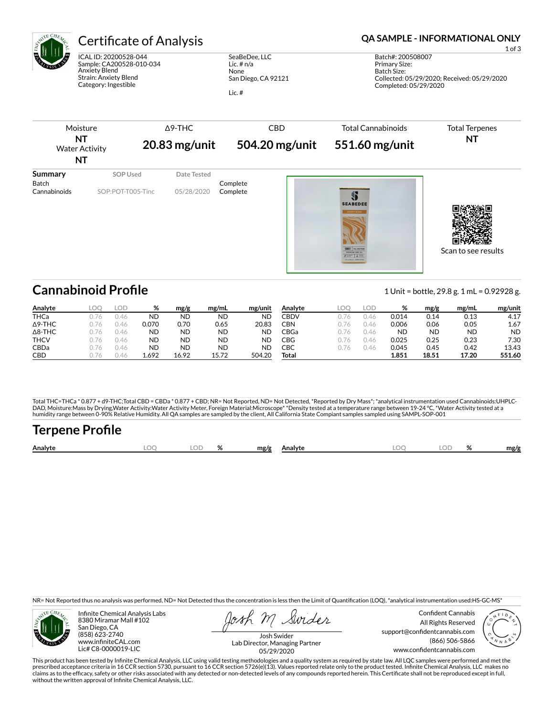

# Certificate of Analysis **Certificate of Analysis QA SAMPLE - INFORMATIONAL ONLY**

ICAL ID: 20200528-044 Sample: CA200528-010-034 Anxiety Blend Strain: Anxiety Blend Category: Ingestible

SeaBeDee, LLC Lic. # n/a None San Diego, CA 92121 Lic. #

1 of 3



## **Cannabinoid Profile** 1 Unit = bottle, 29.8 g. 1 mL = 0.92928 g.

**Analyte LOQ LOD % mg/g mg/mL mg/unit** THCa 0.76 0.46 ND ND ND ND Δ9-THC 0.76 0.46 0.070 0.70 0.65 20.83 Δ8-THC 0.76 0.46 ND ND ND ND THCV 0.76 0.46 ND ND ND ND CBDa 0.76 0.46 ND ND ND ND CBD 0.76 0.46 1.692 16.92 15.72 504.20 **Analyte LOQ LOD % mg/g mg/mL mg/unit** CBDV 0.76 0.46 0.014 0.14 0.13 4.17 CBN 0.76 0.46 0.006 0.06 0.05 1.67 CBGa 0.76 0.46 ND ND ND ND CBG 0.76 0.46 0.025 0.25 0.23 7.30 CBC 0.76 0.46 0.045 0.45 0.42 13.43 **Total 1.851 18.51 17.20 551.60**

Total THC=THCa \* 0.877 + d9-THC;Total CBD = CBDa \* 0.877 + CBD; NR= Not Reported, ND= Not Detected, \*Reported by Dry Mass\*; \*analytical instrumentation used Cannabinoids:UHPLC-DAD, Moisture:Mass by Drying,Water Activity:Water Activity Meter, Foreign Material:Microscope\* \*Density tested at a temperature range between 19-24 °C, \*Water Activity tested at a<br>humidity range between 0-90% Relative Humi

# Terpene Profile

| Analyte | nr | $\cap$ | ົ | mg/g | Analyte | ገር | o/<br>,,, | mg/f |
|---------|----|--------|---|------|---------|----|-----------|------|
|         |    |        |   |      |         |    |           |      |

NR= Not Reported thus no analysis was performed, ND= Not Detected thus the concentration is less then the Limit of Quantification (LOQ), \*analytical instrumentation used:HS-GC-MS\*



Infinite Chemical Analysis Labs 8380 Miramar Mall #102 San Diego, CA (858) 623-2740 www.infiniteCAL.com Lic# C8-0000019-LIC

Swides

Confident Cannabis All Rights Reserved support@confidentcannabis.com (866) 506-5866 www.confidentcannabis.com



Josh Swider Lab Director, Managing Partner 05/29/2020

This product has been tested by Infinite Chemical Analysis, LLC using valid testing methodologies and a quality system as required by state law. All LQC samples were performed and met the prescribed acceptance criteria in 16 CCR section 5730, pursuant to 16 CCR section 5726(e)(13). Values reported relate only to the product tested. Infinite Chemical Analysis, LLC makes no<br>claims as to the efficacy, safety o without the written approval of Infinite Chemical Analysis, LLC.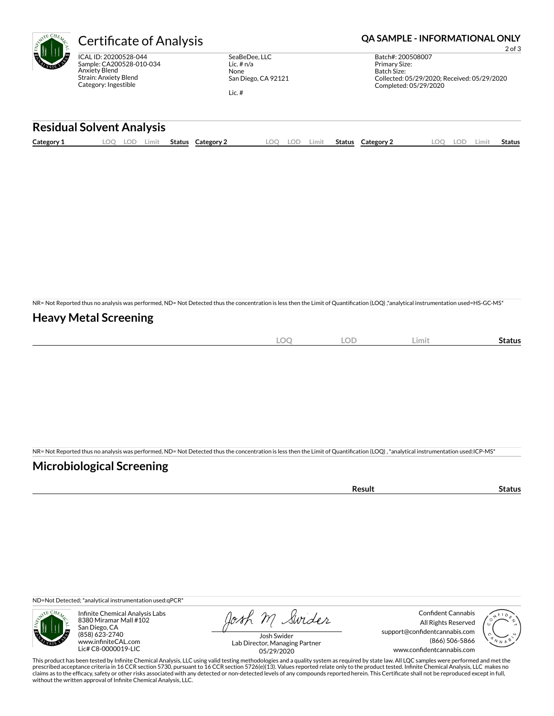

ICAL ID: 20200528-044 Sample: CA200528-010-034 Anxiety Blend Strain: Anxiety Blend Category: Ingestible

SeaBeDee, LLC Lic. # n/a None San Diego, CA 92121

Lic. #

### Certificate of Analysis **Certificate of Analysis QA SAMPLE - INFORMATIONAL ONLY**

2 of 3 Batch#: 200508007 Primary Size: Batch Size: Collected: 05/29/2020; Received: 05/29/2020 Completed: 05/29/2020

#### **Residual Solvent Analysis**

| Category 1 | .OO | LOF | .imit | Status | Category | nn | .imit | <b>Status</b> | Category 2 | LOD | Limi† | <b>Status</b> |
|------------|-----|-----|-------|--------|----------|----|-------|---------------|------------|-----|-------|---------------|
|            |     |     |       |        |          |    |       |               |            |     |       |               |

NR= Not Reported thus no analysis was performed, ND= Not Detected thus the concentration is less then the Limit of Quantification (LOQ),\*analytical instrumentation used=HS-GC-MS\*

#### **Heavy Metal Screening**

|  |  | <b>LOC</b> | <b>LOD</b> | Limit | status |
|--|--|------------|------------|-------|--------|
|--|--|------------|------------|-------|--------|

NR= Not Reported thus no analysis was performed, ND= Not Detected thus the concentration is less then the Limit of Quantification (LOQ), \*analytical instrumentation used:ICP-MS\*

#### **Microbiological Screening**

ND=Not Detected; \*analytical instrumentation used:qPCR\*



Infinite Chemical Analysis Labs 8380 Miramar Mall #102 San Diego, CA (858) 623-2740 www.infiniteCAL.com Lic# C8-0000019-LIC

Josh M Swider

Confident Cannabis All Rights Reserved support@confidentcannabis.com (866) 506-5866 www.confidentcannabis.com



Josh Swider Lab Director, Managing Partner 05/29/2020

This product has been tested by Infinite Chemical Analysis, LLC using valid testing methodologies and a quality system as required by state law. All LQC samples were performed and met the<br>prescribed acceptance criteria in without the written approval of Infinite Chemical Analysis, LLC.